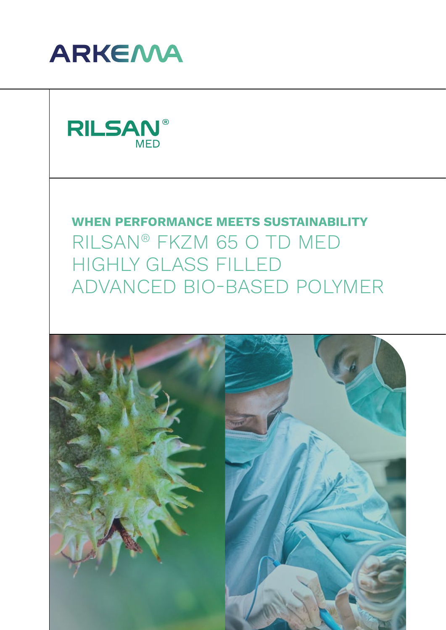

**RILSAN®** MED

**WHEN PERFORMANCE MEETS SUSTAINABILITY** RILSAN® FKZM 65 O TD MED HIGHLY GLASS FILLED ADVANCED BIO-BASED POLYMER

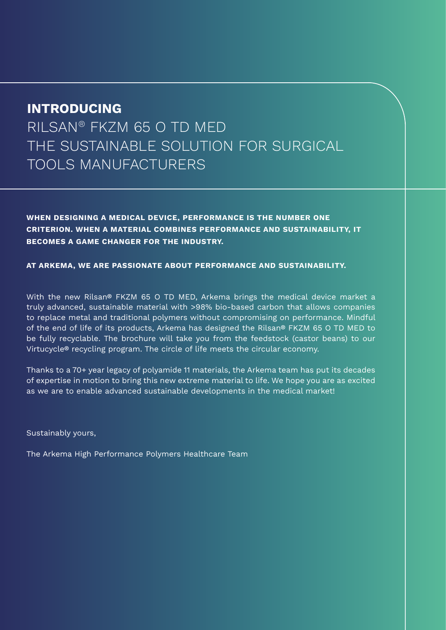# **INTRODUCING**

RILSAN® FKZM 65 O TD MED THE SUSTAINABLE SOLUTION FOR SURGICAL TOOLS MANUFACTURERS

**WHEN DESIGNING A MEDICAL DEVICE, PERFORMANCE IS THE NUMBER ONE CRITERION. WHEN A MATERIAL COMBINES PERFORMANCE AND SUSTAINABILITY, IT BECOMES A GAME CHANGER FOR THE INDUSTRY.**

**AT ARKEMA, WE ARE PASSIONATE ABOUT PERFORMANCE AND SUSTAINABILITY.**

With the new Rilsan® FKZM 65 O TD MED, Arkema brings the medical device market a truly advanced, sustainable material with >98% bio-based carbon that allows companies to replace metal and traditional polymers without compromising on performance. Mindful of the end of life of its products, Arkema has designed the Rilsan® FKZM 65 O TD MED to be fully recyclable. The brochure will take you from the feedstock (castor beans) to our Virtucycle® recycling program. The circle of life meets the circular economy.

Thanks to a 70+ year legacy of polyamide 11 materials, the Arkema team has put its decades of expertise in motion to bring this new extreme material to life. We hope you are as excited as we are to enable advanced sustainable developments in the medical market!

Sustainably yours,

The Arkema High Performance Polymers Healthcare Team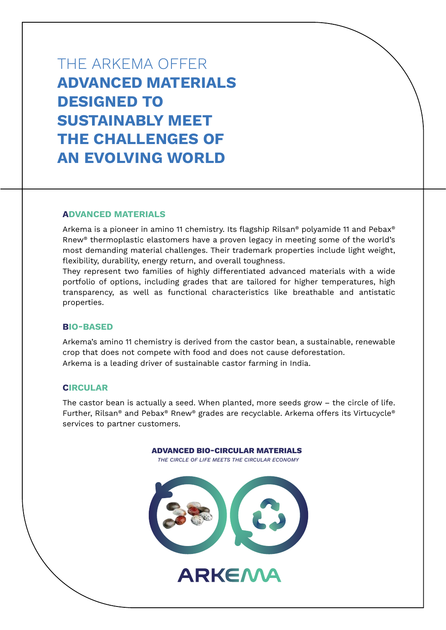THE ARKEMA OFFER **ADVANCED MATERIALS DESIGNED TO SUSTAINABLY MEET THE CHALLENGES OF AN EVOLVING WORLD**

#### **ADVANCED MATERIALS**

Arkema is a pioneer in amino 11 chemistry. Its flagship Rilsan® polyamide 11 and Pebax® Rnew® thermoplastic elastomers have a proven legacy in meeting some of the world's most demanding material challenges. Their trademark properties include light weight, flexibility, durability, energy return, and overall toughness.

They represent two families of highly differentiated advanced materials with a wide portfolio of options, including grades that are tailored for higher temperatures, high transparency, as well as functional characteristics like breathable and antistatic properties.

#### **BIO-BASED**

Arkema's amino 11 chemistry is derived from the castor bean, a sustainable, renewable crop that does not compete with food and does not cause deforestation. Arkema is a leading driver of sustainable castor farming in India.

#### **CIRCULAR**

The castor bean is actually a seed. When planted, more seeds grow – the circle of life. Further, Rilsan® and Pebax® Rnew® grades are recyclable. Arkema offers its Virtucycle® services to partner customers.

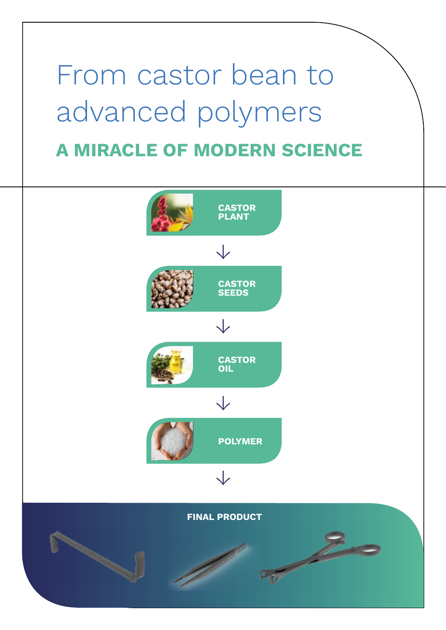# **A MIRACLE OF MODERN SCIENCE** From castor bean to advanced polymers

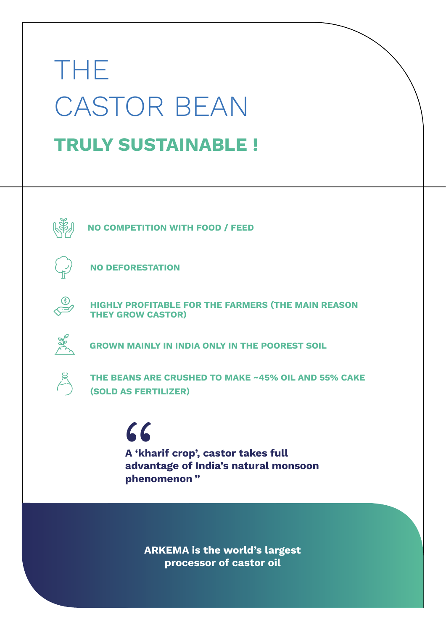# **TRULY SUSTAINABLE !** THE CASTOR BEAN



**NO COMPETITION WITH FOOD / FEED** 



**NO DEFORESTATION** 



**HIGHLY PROFITABLE FOR THE FARMERS (THE MAIN REASON THEY GROW CASTOR)**



**GROWN MAINLY IN INDIA ONLY IN THE POOREST SOIL** 



**THE BEANS ARE CRUSHED TO MAKE ~45% OIL AND 55% CAKE (SOLD AS FERTILIZER)** 

> " **A 'kharif crop', castor takes full advantage of India's natural monsoon phenomenon "**

**ARKEMA is the world's largest processor of castor oil**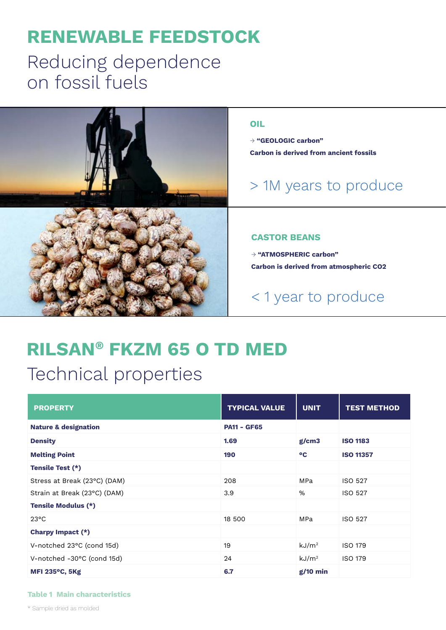# **RENEWABLE FEEDSTOCK**

# Reducing dependence on fossil fuels



# **RILSAN® FKZM 65 O TD MED**  Technical properties

| <b>PROPERTY</b>                 | <b>TYPICAL VALUE</b> | <b>UNIT</b>       | <b>TEST METHOD</b> |  |
|---------------------------------|----------------------|-------------------|--------------------|--|
| <b>Nature &amp; designation</b> | <b>PA11 - GF65</b>   |                   |                    |  |
| <b>Density</b>                  | 1.69<br>g/cm3        |                   | <b>ISO 1183</b>    |  |
| <b>Melting Point</b>            | 190                  | °C                | <b>ISO 11357</b>   |  |
| Tensile Test (*)                |                      |                   |                    |  |
| Stress at Break (23°C) (DAM)    | 208                  | MPa               | ISO 527            |  |
| Strain at Break (23°C) (DAM)    | 3.9                  | %                 | <b>ISO 527</b>     |  |
| <b>Tensile Modulus (*)</b>      |                      |                   |                    |  |
| $23^{\circ}$ C                  | 18 500               | MPa               | <b>ISO 527</b>     |  |
| Charpy Impact (*)               |                      |                   |                    |  |
| V-notched 23°C (cond 15d)       | 19                   | kJ/m <sup>2</sup> | <b>ISO 179</b>     |  |
| V-notched -30°C (cond 15d)      | 24                   | kJ/m <sup>2</sup> | <b>ISO 179</b>     |  |
| <b>MFI 235°C, 5Kg</b>           | 6.7                  | $g/10$ min        |                    |  |

#### **Table 1 Main characteristics**

\* Sample dried as molded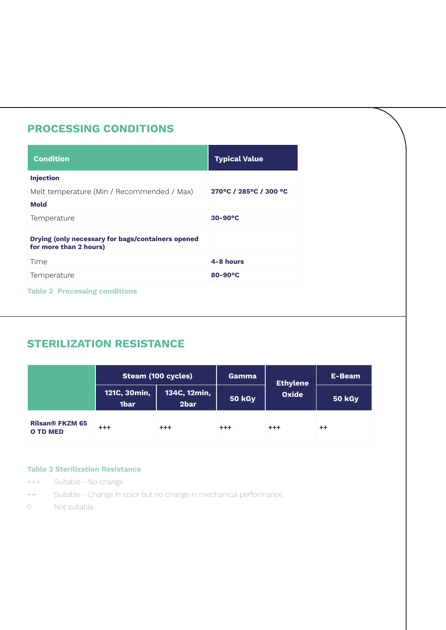# **PROCESSING CONDITIONS**

| <b>Condition</b>                                                            | <b>Typical Value</b>   |
|-----------------------------------------------------------------------------|------------------------|
| <b>Injection</b>                                                            |                        |
| Melt temperature (Min / Recommended / Max)                                  | 270°C / 285°C / 300 °C |
| <b>Mold</b>                                                                 |                        |
| Temperature                                                                 | $30-90$ <sup>o</sup> C |
| Drying (only necessary for bags/containers opened<br>for more than 2 hours) |                        |
| Time                                                                        | 4-8 hours              |
| Temperature                                                                 | $80 - 90^{\circ}C$     |

#### **Table 2 Processing conditions**

# **STERILIZATION RESISTANCE**

|                                           |                                  | <b>Steam (100 cycles)</b> | Gamma         | <b>Ethylene</b> | E-Beam        |
|-------------------------------------------|----------------------------------|---------------------------|---------------|-----------------|---------------|
|                                           | 121C, 30 $\mathsf{min},$<br>1bar | 134C, 12min,<br>2bar      | <b>50 kGy</b> | <b>Oxide</b>    | <b>50 kGy</b> |
| <b>Rilsan® FKZM 65</b><br><b>O TD MED</b> | $+ + +$                          | $^{+++}$                  | $^{++}$       | $+ + +$         | $++$          |

#### **Table 3 Sterilization Resistance**

- +++ Suitable No change
- ++ Suitable Change in color but no change in mechanical performance
- 0 Not suitable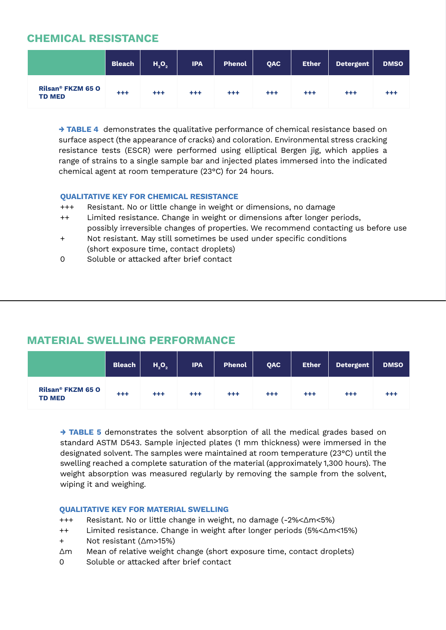### **CHEMICAL RESISTANCE**

|                                           | <b>Bleach</b> | $H_2O_2$ | <b>IPA</b> | <b>Phenol</b> | <b>QAC</b> | <b>Ether</b> | <b>Detergent</b> | <b>DMSO</b> |
|-------------------------------------------|---------------|----------|------------|---------------|------------|--------------|------------------|-------------|
| <b>Rilsan® FKZM 65 O</b><br><b>TD MED</b> | $+ + +$       | $+ + +$  | +++        | $^{+++}$      | $^{++}$    | $^{+ + +}$   | $^{++}$          | $^{+++}$    |

**→ TABLE 4** demonstrates the qualitative performance of chemical resistance based on surface aspect (the appearance of cracks) and coloration. Environmental stress cracking resistance tests (ESCR) were performed using elliptical Bergen jig, which applies a range of strains to a single sample bar and injected plates immersed into the indicated chemical agent at room temperature (23°C) for 24 hours.

#### **QUALITATIVE KEY FOR CHEMICAL RESISTANCE**

- +++ Resistant. No or little change in weight or dimensions, no damage
- ++ Limited resistance. Change in weight or dimensions after longer periods, possibly irreversible changes of properties. We recommend contacting us before use
- + Not resistant. May still sometimes be used under specific conditions (short exposure time, contact droplets)
- 0 Soluble or attacked after brief contact

### **MATERIAL SWELLING PERFORMANCE**

|                                           | <b>Bleach</b> | $H_{2}O_{2}$ | <b>IPA</b> | <b>Phenol</b> | QAC     | <b>Ether</b> | Detergent | <b>DMSO</b> |
|-------------------------------------------|---------------|--------------|------------|---------------|---------|--------------|-----------|-------------|
| <b>Rilsan® FKZM 65 O</b><br><b>TD MED</b> | $+ + +$       | $+ + +$      | $^{++}$    | $^{+++}$      | $^{++}$ | $^{+++}$     | $^{++}$   | $^{+++}$    |

**→ TABLE 5** demonstrates the solvent absorption of all the medical grades based on standard ASTM D543. Sample injected plates (1 mm thickness) were immersed in the designated solvent. The samples were maintained at room temperature (23°C) until the swelling reached a complete saturation of the material (approximately 1,300 hours). The weight absorption was measured regularly by removing the sample from the solvent, wiping it and weighing.

#### **QUALITATIVE KEY FOR MATERIAL SWELLING**

- +++ Resistant. No or little change in weight, no damage (-2%<Δm<5%)
- ++ Limited resistance. Change in weight after longer periods (5%<Δm<15%)
- + Not resistant (Δm>15%)
- Δm Mean of relative weight change (short exposure time, contact droplets)
- 0 Soluble or attacked after brief contact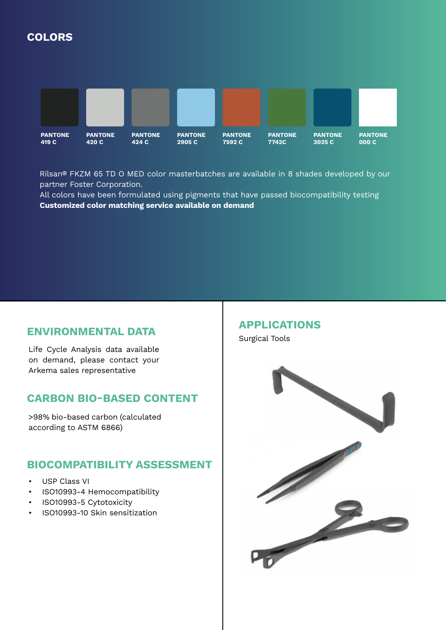# **COLORS**



Rilsan® FKZM 65 TD O MED color masterbatches are available in 8 shades developed by our partner Foster Corporation.

All colors have been formulated using pigments that have passed biocompatibility testing **Customized color matching service available on demand**

### **ENVIRONMENTAL DATA**

Life Cycle Analysis data available on demand, please contact your Arkema sales representative

### **CARBON BIO-BASED CONTENT**

>98% bio-based carbon (calculated according to ASTM 6866)

### **BIOCOMPATIBILITY ASSESSMENT**

- USP Class VI
- ISO10993-4 Hemocompatibility
- ISO10993-5 Cytotoxicity
- ISO10993-10 Skin sensitization

# **APPLICATIONS**

Surgical Tools

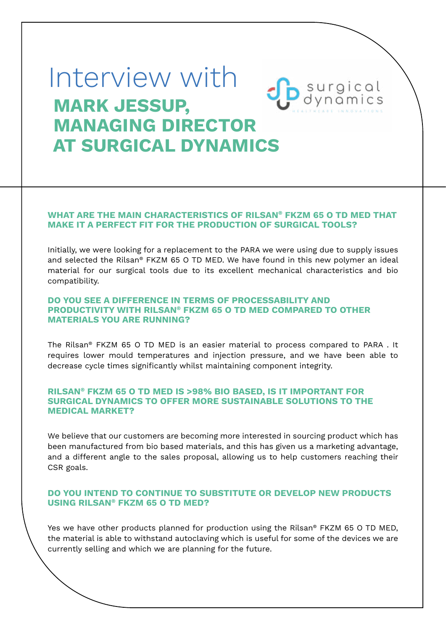# Interview with**Sp** surgical  **MARK JESSUP, MANAGING DIRECTOR AT SURGICAL DYNAMICS**

#### **WHAT ARE THE MAIN CHARACTERISTICS OF RILSAN® FKZM 65 O TD MED THAT MAKE IT A PERFECT FIT FOR THE PRODUCTION OF SURGICAL TOOLS?**

Initially, we were looking for a replacement to the PARA we were using due to supply issues and selected the Rilsan® FKZM 65 O TD MED. We have found in this new polymer an ideal material for our surgical tools due to its excellent mechanical characteristics and bio compatibility.

#### **DO YOU SEE A DIFFERENCE IN TERMS OF PROCESSABILITY AND PRODUCTIVITY WITH RILSAN® FKZM 65 O TD MED COMPARED TO OTHER MATERIALS YOU ARE RUNNING?**

The Rilsan® FKZM 65 O TD MED is an easier material to process compared to PARA . It requires lower mould temperatures and injection pressure, and we have been able to decrease cycle times significantly whilst maintaining component integrity.

#### **RILSAN® FKZM 65 O TD MED IS >98% BIO BASED, IS IT IMPORTANT FOR SURGICAL DYNAMICS TO OFFER MORE SUSTAINABLE SOLUTIONS TO THE MEDICAL MARKET?**

We believe that our customers are becoming more interested in sourcing product which has been manufactured from bio based materials, and this has given us a marketing advantage, and a different angle to the sales proposal, allowing us to help customers reaching their CSR goals.

#### **DO YOU INTEND TO CONTINUE TO SUBSTITUTE OR DEVELOP NEW PRODUCTS USING RILSAN® FKZM 65 O TD MED?**

Yes we have other products planned for production using the Rilsan® FKZM 65 O TD MED, the material is able to withstand autoclaving which is useful for some of the devices we are currently selling and which we are planning for the future.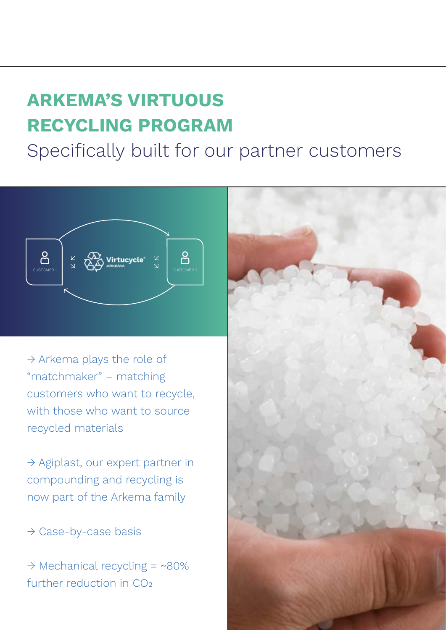# **ARKEMA'S VIRTUOUS RECYCLING PROGRAM**

Specifically built for our partner customers



→ Arkema plays the role of "matchmaker" – matching customers who want to recycle, with those who want to source recycled materials

 $\rightarrow$  Agiplast, our expert partner in compounding and recycling is now part of the Arkema family

→ Case-by-case basis

 $\rightarrow$  Mechanical recycling = ~80% further reduction in CO<sub>2</sub>